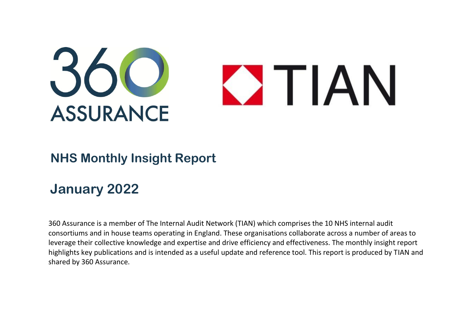

## **NHS Monthly Insight Report**

## **January 2022**

360 Assurance is a member of The Internal Audit Network (TIAN) which comprises the 10 NHS internal audit consortiums and in house teams operating in England. These organisations collaborate across a number of areas to leverage their collective knowledge and expertise and drive efficiency and effectiveness. The monthly insight report highlights key publications and is intended as a useful update and reference tool. This report is produced by TIAN and shared by 360 Assurance.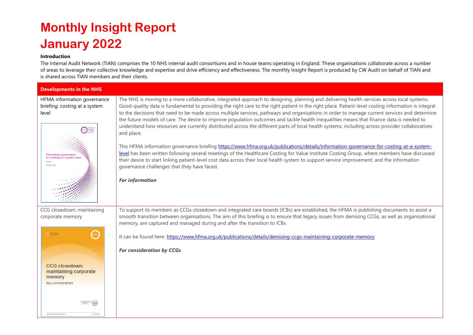## **Monthly Insight Report January 2022**

## **Introduction**

The Internal Audit Network (TIAN) comprises the 10 NHS internal audit consortiums and in house teams operating in England. These organisations collaborate across a number of areas to leverage their collective knowledge and expertise and drive efficiency and effectiveness. The monthly Insight Report is produced by CW Audit on behalf of TIAN and is shared across TIAN members and their clients.

| <b>Developments in the NHS</b>                                                                                                                                     |                                                                                                                                                                                                                                                                                                                                                                                                                                                                                                                                                                                                                                                                                                                                                                                                                                                                                                                                                                                                                                                                                                                                                                                                                                                                                |  |
|--------------------------------------------------------------------------------------------------------------------------------------------------------------------|--------------------------------------------------------------------------------------------------------------------------------------------------------------------------------------------------------------------------------------------------------------------------------------------------------------------------------------------------------------------------------------------------------------------------------------------------------------------------------------------------------------------------------------------------------------------------------------------------------------------------------------------------------------------------------------------------------------------------------------------------------------------------------------------------------------------------------------------------------------------------------------------------------------------------------------------------------------------------------------------------------------------------------------------------------------------------------------------------------------------------------------------------------------------------------------------------------------------------------------------------------------------------------|--|
| HFMA information governance<br>briefing: costing at a system<br>level<br><b>Costing</b><br>Information governance<br>for costing at a system level<br>January 2022 | The NHS is moving to a more collaborative, integrated approach to designing, planning and delivering health services across local systems.<br>Good-quality data is fundamental to providing the right care to the right patient in the right place. Patient-level costing information is integral<br>to the decisions that need to be made across multiple services, pathways and organisations in order to manage current services and determine<br>the future models of care. The desire to improve population outcomes and tackle health inequalities means that finance data is needed to<br>understand how resources are currently distributed across the different parts of local health systems, including across provider collaboratives<br>and place.<br>This HFMA information governance briefing https://www.hfma.org.uk/publications/details/information-governance-for-costing-at-a-system-<br>level has been written following several meetings of the Healthcare Costing for Value Institute Costing Group, where members have discussed<br>their desire to start linking patient-level cost data across their local health system to support service improvement, and the information<br>governance challenges that they have faced.<br><b>For information</b> |  |
| CCG closedown: maintaining<br>corporate memory                                                                                                                     | To support its members as CCGs closedown and integrated care boards (ICBs) are established, the HFMA is publishing documents to assist a<br>smooth transition between organisations. The aim of this briefing is to ensure that legacy issues from demising CCGs, as well as organisational<br>memory, are captured and managed during and after the transition to ICBs.                                                                                                                                                                                                                                                                                                                                                                                                                                                                                                                                                                                                                                                                                                                                                                                                                                                                                                       |  |
| <b>O</b> HPMA anam                                                                                                                                                 | It can be found here: https://www.hfma.org.uk/publications/details/demising-ccgs-maintaining-corporate-memory                                                                                                                                                                                                                                                                                                                                                                                                                                                                                                                                                                                                                                                                                                                                                                                                                                                                                                                                                                                                                                                                                                                                                                  |  |
| <b>CCG closedown:</b><br>maintaining corporate<br>memory<br>Key considerations                                                                                     | <b>For consideration by CCGs</b>                                                                                                                                                                                                                                                                                                                                                                                                                                                                                                                                                                                                                                                                                                                                                                                                                                                                                                                                                                                                                                                                                                                                                                                                                                               |  |
|                                                                                                                                                                    |                                                                                                                                                                                                                                                                                                                                                                                                                                                                                                                                                                                                                                                                                                                                                                                                                                                                                                                                                                                                                                                                                                                                                                                                                                                                                |  |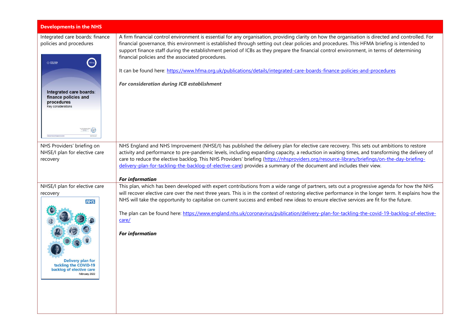| <b>Developments in the NHS</b>                                                                                                                                               |                                                                                                                                                                                                                                                                                                                                                                                                                                                                                                                                                                                                                                                                             |
|------------------------------------------------------------------------------------------------------------------------------------------------------------------------------|-----------------------------------------------------------------------------------------------------------------------------------------------------------------------------------------------------------------------------------------------------------------------------------------------------------------------------------------------------------------------------------------------------------------------------------------------------------------------------------------------------------------------------------------------------------------------------------------------------------------------------------------------------------------------------|
| Integrated care boards: finance<br>policies and procedures<br>hfma<br>$Q$ max and $q$<br>Integrated care boards:<br>finance policies and<br>procedures<br>Key considerations | A firm financial control environment is essential for any organisation, providing clarity on how the organisation is directed and controlled. For<br>financial governance, this environment is established through setting out clear policies and procedures. This HFMA briefing is intended to<br>support finance staff during the establishment period of ICBs as they prepare the financial control environment, in terms of determining<br>financial policies and the associated procedures.<br>It can be found here: https://www.hfma.org.uk/publications/details/integrated-care-boards-finance-policies-and-procedures<br>For consideration during ICB establishment |
| NHS Providers' briefing on<br>NHSE/I plan for elective care<br>recovery                                                                                                      | NHS England and NHS Improvement (NHSE/I) has published the delivery plan for elective care recovery. This sets out ambitions to restore<br>activity and performance to pre-pandemic levels, including expanding capacity, a reduction in waiting times, and transforming the delivery of<br>care to reduce the elective backlog. This NHS Providers' briefing (https://nhsproviders.org/resource-library/briefings/on-the-day-briefing-<br>delivery-plan-for-tackling-the-backlog-of-elective-care) provides a summary of the document and includes their view.<br><b>For information</b>                                                                                   |
| NHSE/I plan for elective care<br>recovery<br><b>NHS</b><br><b>Delivery plan for</b><br>tackling the COVID-19<br>backlog of elective care<br>February 2022                    | This plan, which has been developed with expert contributions from a wide range of partners, sets out a progressive agenda for how the NHS<br>will recover elective care over the next three years. This is in the context of restoring elective performance in the longer term. It explains how the<br>NHS will take the opportunity to capitalise on current success and embed new ideas to ensure elective services are fit for the future.<br>The plan can be found here: https://www.england.nhs.uk/coronavirus/publication/delivery-plan-for-tackling-the-covid-19-backlog-of-elective-<br>care/<br><b>For information</b>                                            |